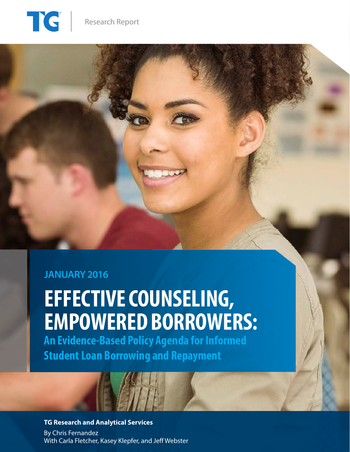

## **JANUARY 2016**

# **EFFECTIVE COUNSELING, EMPOWERED BORROWERS:**

**An Evidence-Based Policy Agenda for Informed Student Loan Borrowing and Repayment** 

## **TG Research and Analytical Services**

By Chris Fernandez With Carla Fletcher, Kasey Klepfer, and Jeff Webster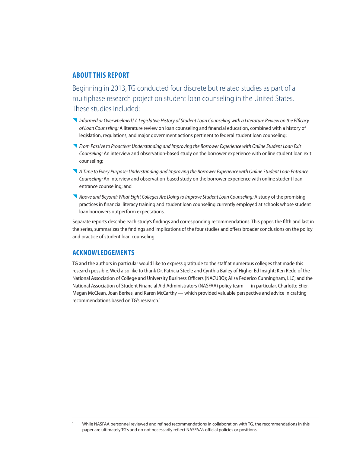### **ABOUT THIS REPORT**

Beginning in 2013, TG conducted four discrete but related studies as part of a multiphase research project on student loan counseling in the United States. These studies included:

- *Informed or Overwhelmed? A Legislative History of Student Loan Counseling with a Literature Review on the Efficacy of Loan Counseling:* A literature review on loan counseling and financial education, combined with a history of legislation, regulations, and major government actions pertinent to federal student loan counseling;
- *From Passive to Proactive: Understanding and Improving the Borrower Experience with Online Student Loan Exit Counseling:* An interview and observation-based study on the borrower experience with online student loan exit counseling;
- *A Time to Every Purpose: Understanding and Improving the Borrower Experience with Online Student Loan Entrance Counseling:* An interview and observation-based study on the borrower experience with online student loan entrance counseling; and
- Above and Beyond: What Eight Colleges Are Doing to Improve Student Loan Counseling: A study of the promising practices in financial literacy training and student loan counseling currently employed at schools whose student loan borrowers outperform expectations.

Separate reports describe each study's findings and corresponding recommendations. This paper, the fifth and last in the series, summarizes the findings and implications of the four studies and offers broader conclusions on the policy and practice of student loan counseling.

## **ACKNOWLEDGEMENTS**

TG and the authors in particular would like to express gratitude to the staff at numerous colleges that made this research possible. We'd also like to thank Dr. Patricia Steele and Cynthia Bailey of Higher Ed Insight; Ken Redd of the National Association of College and University Business Officers (NACUBO); Alisa Federico Cunningham, LLC; and the National Association of Student Financial Aid Administrators (NASFAA) policy team — in particular, Charlotte Etier, Megan McClean, Joan Berkes, and Karen McCarthy — which provided valuable perspective and advice in crafting recommendations based on TG's research.<sup>1</sup>

<sup>1</sup> While NASFAA personnel reviewed and refined recommendations in collaboration with TG, the recommendations in this paper are ultimately TG's and do not necessarily reflect NASFAA's official policies or positions.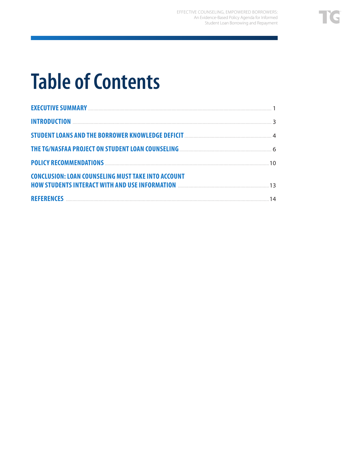# **Table of Contents**

| THE TG/NASFAA PROJECT ON STUDENT LOAN COUNSELING <b>MALLEY CONSERVERSE AND THE TG/NASFAA</b> PROJECT ON STUDENT LOAN COUNSELING |    |
|---------------------------------------------------------------------------------------------------------------------------------|----|
| POLICY RECOMMENDATIONS <b>CONSERVERS</b> (2012)                                                                                 |    |
| <b>CONCLUSION: LOAN COUNSELING MUST TAKE INTO ACCOUNT</b>                                                                       |    |
| HOW STUDENTS INTERACT WITH AND USE INFORMATION <b>MALE AND THE RESEARCH OF A STUDENTS</b> 13                                    |    |
|                                                                                                                                 | 14 |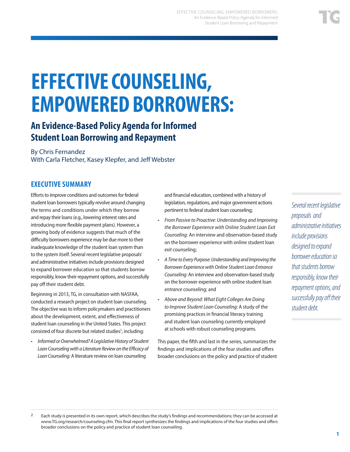# **EFFECTIVE COUNSELING, EMPOWERED BORROWERS:**

## **An Evidence-Based Policy Agenda for Informed Student Loan Borrowing and Repayment**

### By Chris Fernandez With Carla Fletcher, Kasey Klepfer, and Jeff Webster

## **EXECUTIVE SUMMARY**

Efforts to improve conditions and outcomes for federal student loan borrowers typically revolve around changing the terms and conditions under which they borrow and repay their loans (e.g., lowering interest rates and introducing more flexible payment plans). However, a growing body of evidence suggests that much of the difficulty borrowers experience may be due more to their inadequate knowledge of the student loan system than to the system itself. Several recent legislative proposalsi and administrative initiatives include provisions designed to expand borrower education so that students borrow responsibly, know their repayment options, and successfully pay off their student debt.

Beginning in 2013, TG, in consultation with NASFAA, conducted a research project on student loan counseling. The objective was to inform policymakers and practitioners about the development, extent, and effectiveness of student loan counseling in the United States. This project consisted of four discrete but related studies<sup>2</sup>, including:

• *Informed or Overwhelmed? A Legislative History of Student Loan Counseling with a Literature Review on the Efficacy of Loan Counseling:* A literature review on loan counseling

and financial education, combined with a history of legislation, regulations, and major government actions pertinent to federal student loan counseling;

- *From Passive to Proactive: Understanding and Improving the Borrower Experience with Online Student Loan Exit Counseling:* An interview and observation-based study on the borrower experience with online student loan *exit* counseling;
- *A Time to Every Purpose: Understanding and Improving the Borrower Experience with Online Student Loan Entrance Counseling:* An interview and observation-based study on the borrower experience with online student loan *entrance* counseling; and
- *Above and Beyond: What Eight Colleges Are Doing to Improve Student Loan Counseling:* A study of the promising practices in financial literacy training and student loan counseling currently employed at schools with robust counseling programs.

This paper, the fifth and last in the series, summarizes the findings and implications of the four studies and offers broader conclusions on the policy and practice of student *Several recent legislative proposals and administrative initiatives include provisions designed to expand borrower education so that students borrow responsibly, know their repayment options, and successfully pay off their student debt.* 

<sup>2</sup> Each study is presented in its own report, which describes the study's findings and recommendations; they can be accessed at www.TG.org/research/counseling.cfm. This final report synthesizes the findings and implications of the four studies and offers broader conclusions on the policy and practice of student loan counseling.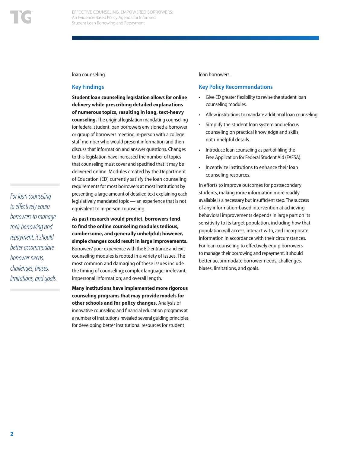*For loan counseling* 

loan counseling.

#### **Key Findings**

**Student loan counseling legislation allows for online delivery while prescribing detailed explanations of numerous topics, resulting in long, text-heavy counseling.** The original legislation mandating counseling for federal student loan borrowers envisioned a borrower or group of borrowers meeting in-person with a college staff member who would present information and then discuss that information and answer questions. Changes to this legislation have increased the number of topics that counseling must cover and specified that it may be delivered online. Modules created by the Department of Education (ED) currently satisfy the loan counseling requirements for most borrowers at most institutions by presenting a large amount of detailed text explaining each legislatively mandated topic — an experience that is not equivalent to in-person counseling.

**As past research would predict, borrowers tend to find the online counseling modules tedious, cumbersome, and generally unhelpful; however, simple changes could result in large improvements.**  Borrowers' poor experience with the ED entrance and exit counseling modules is rooted in a variety of issues. The most common and damaging of these issues include the timing of counseling; complex language; irrelevant, impersonal information; and overall length. *to effectively equip borrowers to manage their borrowing and repayment, it should better accommodate borrower needs, challenges, biases, limitations, and goals.*

> **Many institutions have implemented more rigorous counseling programs that may provide models for other schools and for policy changes.** Analysis of innovative counseling and financial education programs at a number of institutions revealed several guiding principles for developing better institutional resources for student

loan borrowers.

#### **Key Policy Recommendations**

- Give ED greater flexibility to revise the student loan counseling modules.
- Allow institutions to mandate additional loan counseling.
- Simplify the student loan system and refocus counseling on practical knowledge and skills, not unhelpful details.
- Introduce loan counseling as part of filing the Free Application for Federal Student Aid (FAFSA).
- Incentivize institutions to enhance their loan counseling resources.

In efforts to improve outcomes for postsecondary students, making more information more readily available is a necessary but insufficient step. The success of any information-based intervention at achieving behavioral improvements depends in large part on its sensitivity to its target population, including how that population will access, interact with, and incorporate information in accordance with their circumstances. For loan counseling to effectively equip borrowers to manage their borrowing and repayment, it should better accommodate borrower needs, challenges, biases, limitations, and goals.

**2**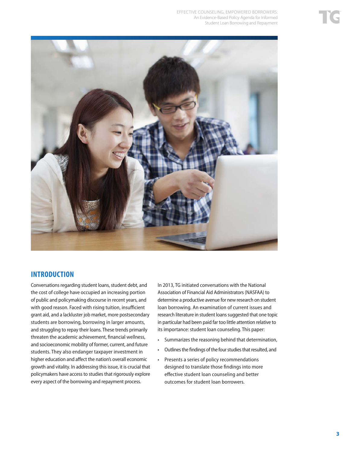

## **INTRODUCTION**

Conversations regarding student loans, student debt, and the cost of college have occupied an increasing portion of public and policymaking discourse in recent years, and with good reason. Faced with rising tuition, insufficient grant aid, and a lackluster job market, more postsecondary students are borrowing, borrowing in larger amounts, and struggling to repay their loans. These trends primarily threaten the academic achievement, financial wellness, and socioeconomic mobility of former, current, and future students. They also endanger taxpayer investment in higher education and affect the nation's overall economic growth and vitality. In addressing this issue, it is crucial that policymakers have access to studies that rigorously explore every aspect of the borrowing and repayment process.

In 2013, TG initiated conversations with the National Association of Financial Aid Administrators (NASFAA) to determine a productive avenue for new research on student loan borrowing. An examination of current issues and research literature in student loans suggested that one topic in particular had been paid far too little attention relative to its importance: student loan counseling. This paper:

- Summarizes the reasoning behind that determination,
- Outlines the findings of the four studies that resulted, and
- Presents a series of policy recommendations designed to translate those findings into more effective student loan counseling and better outcomes for student loan borrowers.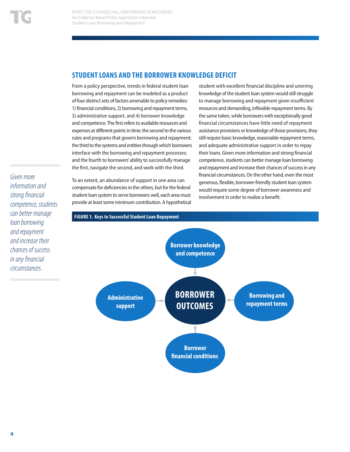## **STUDENT LOANS AND THE BORROWER KNOWLEDGE DEFICIT**

From a policy perspective, trends in federal student loan borrowing and repayment can be modeled as a product of four distinct sets of factors amenable to policy remedies: 1) financial conditions, 2) borrowing and repayment terms, 3) administrative support, and 4) borrower knowledge and competence. The first refers to available resources and expenses at different points in time; the second to the various rules and programs that govern borrowing and repayment; the third to the systems and entities through which borrowers interface with the borrowing and repayment processes; and the fourth to borrowers' ability to successfully manage the first, navigate the second, and work with the third.

To an extent, an abundance of support in one area can compensate for deficiencies in the others, but for the federal student loan system to serve borrowers well, each area must provide at least some minimum contribution. A hypothetical

student with excellent financial discipline and unerring knowledge of the student loan system would still struggle to manage borrowing and repayment given insufficient resources and demanding, inflexible repayment terms. By the same token, while borrowers with exceptionally good financial circumstances have little need of repayment assistance provisions or knowledge of those provisions, they still require basic knowledge, reasonable repayment terms, and adequate administrative support in order to repay their loans. Given more information and strong financial competence, students can better manage loan borrowing and repayment and increase their chances of success in any financial circumstances. On the other hand, even the most generous, flexible, borrower-friendly student loan system would require some degree of borrower awareness and involvement in order to realize a benefit.

*Given more information and strong financial competence, students can better manage loan borrowing and repayment and increase their chances of success in any financial circumstances.* 

#### **FIGURE 1. Keys to Successful Student Loan Repayment**

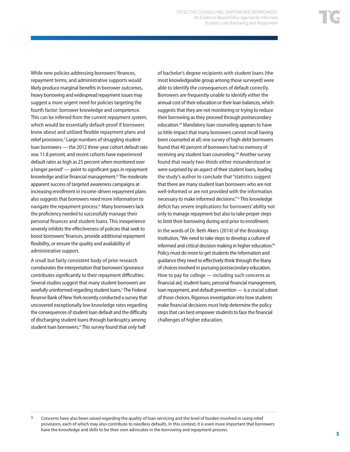While new policies addressing borrowers' finances, repayment terms, and administrative supports would likely produce marginal benefits in borrower outcomes, heavy borrowing and widespread repayment issues may suggest a more urgent need for policies targeting the fourth factor: borrower knowledge and competence. This can be inferred from the current repayment system, which would be essentially default-proof if borrowers knew about and utilized flexible repayment plans and relief provisions.<sup>3</sup> Large numbers of struggling student loan borrowers — the 2012 three-year cohort default rate was 11.8 percent, and recent cohorts have experienced default rates as high as 25 percent when monitored over a longer period<sup>ii</sup> — point to significant gaps in repayment knowledge and/or financial management.<sup>iii</sup> The moderate apparent success of targeted awareness campaigns at increasing enrollment in income-driven repayment plans also suggests that borrowers need more information to navigate the repayment process.<sup>iv</sup> Many borrowers lack the proficiency needed to successfully manage their personal finances and student loans. This inexperience severely inhibits the effectiveness of policies that seek to boost borrowers' finances, provide additional repayment flexibility, or ensure the quality and availability of administrative support.

A small but fairly consistent body of prior research corroborates the interpretation that borrowers' ignorance contributes significantly to their repayment difficulties. Several studies suggest that many student borrowers are woefully uninformed regarding student loans.<sup>v</sup> The Federal Reserve Bank of New York recently conducted a survey that uncovered exceptionally low knowledge rates regarding the consequences of student loan default and the difficulty of discharging student loans through bankruptcy among student loan borrowers.<sup>vi</sup> This survey found that only half

of bachelor's degree recipients with student loans (the most knowledgeable group among those surveyed) were able to identify the consequences of default correctly. Borrowers are frequently unable to identify either the annual cost of their education or their loan balances, which suggests that they are not monitoring or trying to reduce their borrowing as they proceed through postsecondary education.<sup>vii</sup> Mandatory loan counseling appears to have so little impact that many borrowers cannot recall having been counseled at all; one survey of high-debt borrowers found that 40 percent of borrowers had no memory of receiving any student loan counseling.<sup>viii</sup> Another survey found that nearly two-thirds either misunderstood or were surprised by an aspect of their student loans, leading the study's author to conclude that "statistics suggest that there are many student loan borrowers who are not well-informed or are not provided with the information necessary to make informed decisions." ix This knowledge deficit has severe implications for borrowers' ability not only to manage repayment but also to take proper steps to limit their borrowing during and prior to enrollment.

In the words of Dr. Beth Akers (2014) of the Brookings Institution, "We need to take steps to develop a culture of informed and critical decision making in higher education."x Policy must do more to get students the information and guidance they need to effectively think through the litany of choices involved in pursuing postsecondary education. How to pay for college — including such concerns as financial aid, student loans, personal financial management, loan repayment, and default prevention — is a crucial subset of those choices. Rigorous investigation into how students make financial decisions must help determine the policy steps that can best empower students to face the financial challenges of higher education.

 $3$  Concerns have also been raised regarding the quality of loan servicing and the level of burden involved in using relief provisions, each of which may also contribute to needless defaults. In this context, it is even more important that borrowers have the knowledge and skills to be their own advocates in the borrowing and repayment process.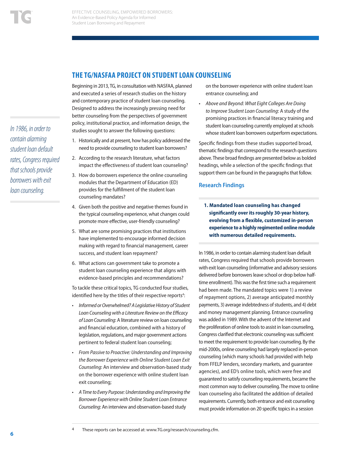*In 1986, in order to contain alarming student loan default rates, Congress required that schools provide borrowers with exit loan counseling.* 

## **THE TG/NASFAA PROJECT ON STUDENT LOAN COUNSELING**

Beginning in 2013, TG, in consultation with NASFAA, planned and executed a series of research studies on the history and contemporary practice of student loan counseling. Designed to address the increasingly pressing need for better counseling from the perspectives of government policy, institutional practice, and information design, the studies sought to answer the following questions:

- 1. Historically and at present, how has policy addressed the need to provide counseling to student loan borrowers?
- 2. According to the research literature, what factors impact the effectiveness of student loan counseling?
- 3. How do borrowers experience the online counseling modules that the Department of Education (ED) provides for the fulfillment of the student loan counseling mandates?
- 4. Given both the positive and negative themes found in the typical counseling experience, what changes could promote more effective, user-friendly counseling?
- 5. What are some promising practices that institutions have implemented to encourage informed decision making with regard to financial management, career success, and student loan repayment?
- 6. What actions can government take to promote a student loan counseling experience that aligns with evidence-based principles and recommendations?

To tackle these critical topics, TG conducted four studies, identified here by the titles of their respective reports<sup>4</sup>:

- *Informed or Overwhelmed? A Legislative History of Student Loan Counseling with a Literature Review on the Efficacy of Loan Counseling*: A literature review on loan counseling and financial education, combined with a history of legislation, regulations, and major government actions pertinent to federal student loan counseling;
- *From Passive to Proactive: Understanding and Improving the Borrower Experience with Online Student Loan Exit Counseling*: An interview and observation-based study on the borrower experience with online student loan exit counseling;
- *A Time to Every Purpose: Understanding and Improving the Borrower Experience with Online Student Loan Entrance Counseling*: An interview and observation-based study

on the borrower experience with online student loan entrance counseling; and

• *Above and Beyond: What Eight Colleges Are Doing to Improve Student Loan Counseling*: A study of the promising practices in financial literacy training and student loan counseling currently employed at schools whose student loan borrowers outperform expectations.

Specific findings from these studies supported broad, thematic findings that correspond to the research questions above. These broad findings are presented below as bolded headings, while a selection of the specific findings that support them can be found in the paragraphs that follow.

#### **Research Findings**

**1. Mandated loan counseling has changed significantly over its roughly 30-year history, evolving from a flexible, customized in-person experience to a highly regimented online module with numerous detailed requirements.**

In 1986, in order to contain alarming student loan default rates, Congress required that schools provide borrowers with exit loan counseling (informative and advisory sessions delivered before borrowers leave school or drop below halftime enrollment). This was the first time such a requirement had been made. The mandated topics were 1) a review of repayment options, 2) average anticipated monthly payments, 3) average indebtedness of students, and 4) debt and money management planning. Entrance counseling was added in 1989. With the advent of the Internet and the proliferation of online tools to assist in loan counseling, Congress clarified that electronic counseling was sufficient to meet the requirement to provide loan counseling. By the mid-2000s, online counseling had largely replaced in-person counseling (which many schools had provided with help from FFELP lenders, secondary markets, and guarantee agencies), and ED's online tools, which were free and guaranteed to satisfy counseling requirements, became the most common way to deliver counseling. The move to online loan counseling also facilitated the addition of detailed requirements. Currently, both entrance and exit counseling must provide information on 20 specific topics in a session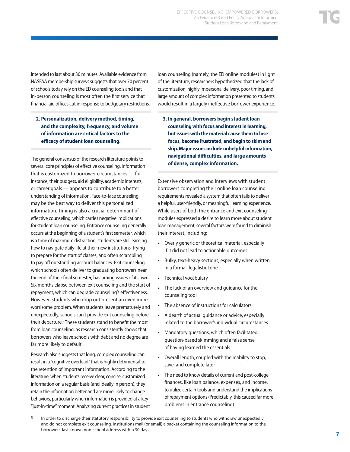intended to last about 30 minutes. Available evidence from NASFAA membership surveys suggests that over 70 percent of schools today rely on the ED counseling tools and that in-person counseling is most often the first service that financial aid offices cut in response to budgetary restrictions.

**2. Personalization, delivery method, timing, and the complexity, frequency, and volume of information are critical factors to the efficacy of student loan counseling.**

The general consensus of the research literature points to several core principles of effective counseling. Information that is customized to borrower circumstances — for instance, their budgets, aid eligibility, academic interests, or career goals — appears to contribute to a better understanding of information. Face-to-face counseling may be the best way to deliver this personalized information. Timing is also a crucial determinant of effective counseling, which carries negative implications for student loan counseling. Entrance counseling generally occurs at the beginning of a student's first semester, which is a time of maximum distraction: students are still learning how to navigate daily life at their new institutions, trying to prepare for the start of classes, and often scrambling to pay off outstanding account balances. Exit counseling, which schools often deliver to graduating borrowers near the end of their final semester, has timing issues of its own. Six months elapse between exit counseling and the start of repayment, which can degrade counseling's effectiveness. However, students who drop out present an even more worrisome problem. When students leave prematurely and unexpectedly, schools can't provide exit counseling before their departure.<sup>5</sup> These students stand to benefit the most from loan counseling, as research consistently shows that borrowers who leave schools with debt and no degree are far more likely to default.

Research also suggests that long, complex counseling can result in a "cognitive overload" that is highly detrimental to the retention of important information. According to the literature, when students receive clear, concise, customized information on a regular basis (and ideally in person), they retain the information better and are more likely to change behaviors, particularly when information is provided at a key "just-in-time" moment. Analyzing current practices in student loan counseling (namely, the ED online modules) in light of the literature, researchers hypothesized that the lack of customization, highly impersonal delivery, poor timing, and large amount of complex information presented to students would result in a largely ineffective borrower experience.

**3. In general, borrowers begin student loan counseling with focus and interest in learning, but issues with the material cause them to lose focus, become frustrated, and begin to skim and skip. Major issues include unhelpful information, navigational difficulties, and large amounts of dense, complex information.**

Extensive observation and interviews with student borrowers completing their online loan counseling requirements revealed a system that often fails to deliver a helpful, user-friendly, or meaningful learning experience. While users of both the entrance and exit counseling modules expressed a desire to learn more about student loan management, several factors were found to diminish their interest, including:

- Overly generic or theoretical material, especially if it did not lead to actionable outcomes
- Bulky, text-heavy sections, especially when written in a formal, legalistic tone
- Technical vocabulary
- The lack of an overview and guidance for the counseling tool
- The absence of instructions for calculators
- A dearth of actual guidance or advice, especially related to the borrower's individual circumstances
- Mandatory questions, which often facilitated question-based skimming and a false sense of having learned the essentials
- Overall length, coupled with the inability to stop, save, and complete later
- The need to know details of current and post-college finances, like loan balance, expenses, and income, to utilize certain tools and understand the implications of repayment options (Predictably, this caused far more problems in entrance counseling)

<sup>&</sup>lt;sup>5</sup> In order to discharge their statutory responsibility to provide exit counseling to students who withdraw unexpectedly and do not complete exit counseling, institutions mail (or email) a packet containing the counseling information to the borrowers' last known non-school address within 30 days.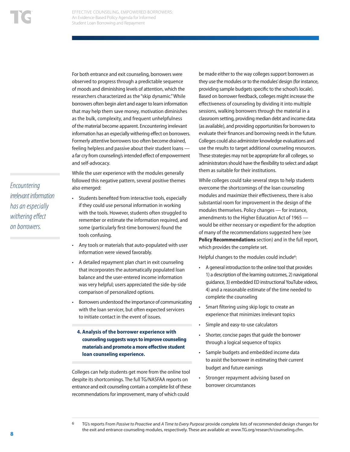For both entrance and exit counseling, borrowers were observed to progress through a predictable sequence of moods and diminishing levels of attention, which the researchers characterized as the "skip dynamic." While borrowers often begin alert and eager to learn information that may help them save money, motivation diminishes as the bulk, complexity, and frequent unhelpfulness of the material become apparent. Encountering irrelevant information has an especially withering effect on borrowers. Formerly attentive borrowers too often become drained, feeling helpless and passive about their student loans a far cry from counseling's intended effect of empowerment and self-advocacy.

While the user experience with the modules generally followed this negative pattern, several positive themes also emerged:

- Students benefited from interactive tools, especially if they could use personal information in working with the tools. However, students often struggled to remember or estimate the information required, and some (particularly first-time borrowers) found the tools confusing.
- Any tools or materials that auto-populated with user information were viewed favorably.
- A detailed repayment plan chart in exit counseling that incorporates the automatically populated loan balance and the user-entered income information was very helpful; users appreciated the side-by-side comparison of personalized options.
- Borrowers understood the importance of communicating with the loan servicer, but often expected servicers to initiate contact in the event of issues.
	- **4. Analysis of the borrower experience with counseling suggests ways to improve counseling materials and promote a more effective student loan counseling experience.**

Colleges can help students get more from the online tool despite its shortcomings. The full TG/NASFAA reports on entrance and exit counseling contain a complete list of these recommendations for improvement, many of which could

be made either to the way colleges support borrowers as they use the modules or to the modules' design (for instance, providing sample budgets specific to the school's locale). Based on borrower feedback, colleges might increase the effectiveness of counseling by dividing it into multiple sessions, walking borrowers through the material in a classroom setting, providing median debt and income data (as available), and providing opportunities for borrowers to evaluate their finances and borrowing needs in the future. Colleges could also administer knowledge evaluations and use the results to target additional counseling resources. These strategies may not be appropriate for all colleges, so administrators should have the flexibility to select and adapt them as suitable for their institutions.

While colleges could take several steps to help students overcome the shortcomings of the loan counseling modules and maximize their effectiveness, there is also substantial room for improvement in the design of the modules themselves. Policy changes — for instance, amendments to the Higher Education Act of 1965 would be either necessary or expedient for the adoption of many of the recommendations suggested here (see **Policy Recommendations** section) and in the full report, which provides the complete set.

Helpful changes to the modules could include<sup>6</sup>:

- A general introduction to the online tool that provides 1) a description of the learning outcomes, 2) navigational guidance, 3) embedded ED instructional YouTube videos, 4) and a reasonable estimate of the time needed to complete the counseling
- Smart filtering using skip logic to create an experience that minimizes irrelevant topics
- Simple and easy-to-use calculators
- Shorter, concise pages that guide the borrower through a logical sequence of topics
- Sample budgets and embedded income data to assist the borrower in estimating their current budget and future earnings
- Stronger repayment advising based on borrower circumstances

6 TG's reports From *Passive to Proactive* and *A Time to Every Purpose* provide complete lists of recommended design changes for the exit and entrance counseling modules, respectively. These are available at: www.TG.org/research/counseling.cfm.

*Encountering irrelevant information has an especially withering effect on borrowers.*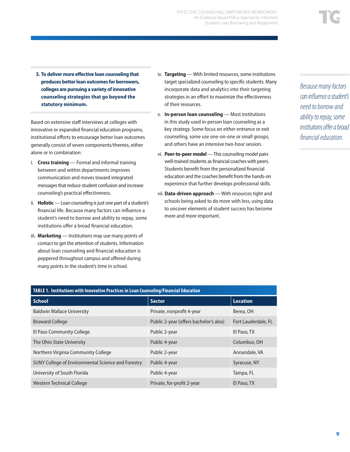**5. To deliver more effective loan counseling that produces better loan outcomes for borrowers, colleges are pursuing a variety of innovative counseling strategies that go beyond the statutory minimum.**

Based on extensive staff interviews at colleges with innovative or expanded financial education programs, institutional efforts to encourage better loan outcomes generally consist of seven components/themes, either alone or in combination:

- i. **Cross training** Formal and informal training between and within departments improves communication and moves toward integrated messages that reduce student confusion and increase counseling's practical effectiveness.
- ii. **Holistic** Loan counseling is just one part of a student's financial life. Because many factors can influence a student's need to borrow and ability to repay, some institutions offer a broad financial education.
- iii. **Marketing** Institutions may use many points of contact to get the attention of students. Information about loan counseling and financial education is peppered throughout campus and offered during many points in the student's time in school.
- iv. **Targeting** With limited resources, some institutions target specialized counseling to specific students. Many incorporate data and analytics into their targeting strategies in an effort to maximize the effectiveness of their resources.
- v. **In-person loan counseling** Most institutions in this study used in-person loan counseling as a key strategy. Some focus on either entrance or exit counseling, some use one-on-one or small groups, and others have an intensive two-hour session.
- vi. **Peer-to-peer model** This counseling model pairs well-trained students as financial coaches with peers. Students benefit from the personalized financial education and the coaches benefit from the hands-on experience that further develops professional skills.
- vii. **Data-driven approach** With resources tight and schools being asked to do more with less, using data to uncover elements of student success has become more and more important.

*Because many factors can influence a student's need to borrow and ability to repay, some institutions offer a broad financial education.*

| TABLE 1. Institutions with Innovative Practices in Loan Counseling/Financial Education |                                        |                     |  |
|----------------------------------------------------------------------------------------|----------------------------------------|---------------------|--|
| School                                                                                 | <b>Sector</b>                          | <b>Location</b>     |  |
| <b>Baldwin Wallace University</b>                                                      | Private, nonprofit 4-year              | Berea, OH           |  |
| <b>Broward College</b>                                                                 | Public 2-year (offers bachelor's also) | Fort Lauderdale, FL |  |
| El Paso Community College                                                              | Public 2-year                          | El Paso, TX         |  |
| The Ohio State University                                                              | Public 4-year                          | Columbus, OH        |  |
| Northern Virginia Community College                                                    | Public 2-year                          | Annandale, VA       |  |
| SUNY College of Environmental Science and Forestry                                     | Public 4-year                          | Syracuse, NY        |  |
| University of South Florida                                                            | Public 4-year                          | Tampa, FL           |  |
| Western Technical College                                                              | Private, for-profit 2-year             | El Paso, TX         |  |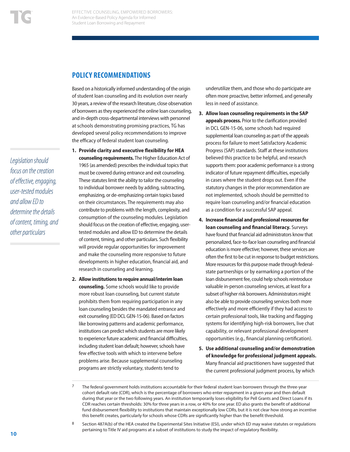### **POLICY RECOMMENDATIONS**

Based on a historically informed understanding of the origin of student loan counseling and its evolution over nearly 30 years, a review of the research literature, close observation of borrowers as they experienced the online loan counseling, and in-depth cross-departmental interviews with personnel at schools demonstrating promising practices, TG has developed several policy recommendations to improve the efficacy of federal student loan counseling.

- **1. Provide clarity and executive flexibility for HEA counseling requirements.** The Higher Education Act of 1965 (as amended) prescribes the individual topics that must be covered during entrance and exit counseling. These statutes limit the ability to tailor the counseling to individual borrower needs by adding, subtracting, emphasizing, or de-emphasizing certain topics based on their circumstances. The requirements may also contribute to problems with the length, complexity, and consumption of the counseling modules. Legislation should focus on the creation of effective, engaging, usertested modules and allow ED to determine the details of content, timing, and other particulars. Such flexibility will provide regular opportunities for improvement and make the counseling more responsive to future developments in higher education, financial aid, and research in counseling and learning.
- **2. Allow institutions to require annual/interim loan counseling.** Some schools would like to provide more robust loan counseling, but current statute prohibits them from requiring participation in any loan counseling besides the mandated entrance and exit counseling (ED DCL GEN-15-06). Based on factors like borrowing patterns and academic performance, institutions can predict which students are more likely to experience future academic and financial difficulties, including student loan default; however, schools have few effective tools with which to intervene before problems arise. Because supplemental counseling programs are strictly voluntary, students tend to

underutilize them, and those who do participate are often more proactive, better informed, and generally less in need of assistance.

- **3. Allow loan counseling requirements in the SAP appeals process.** Prior to the clarification provided in DCL GEN-15-06, some schools had required supplemental loan counseling as part of the appeals process for failure to meet Satisfactory Academic Progress (SAP) standards. Staff at these institutions believed this practice to be helpful, and research supports them: poor academic performance is a strong indicator of future repayment difficulties, especially in cases where the student drops out. Even if the statutory changes in the prior recommendation are not implemented, schools should be permitted to require loan counseling and/or financial education as a condition for a successful SAP appeal.
- **4. Increase financial and professional resources for loan counseling and financial literacy.** Surveys have found that financial aid administrators know that personalized, face-to-face loan counseling and financial education is more effective; however, these services are often the first to be cut in response to budget restrictions. More resources for this purpose made through federalstate partnerships or by earmarking a portion of the loan disbursement fee, could help schools reintroduce valuable in-person counseling services, at least for a subset of higher risk borrowers. Administrators might also be able to provide counseling services both more effectively and more efficiently if they had access to certain professional tools, like tracking and flagging systems for identifying high-risk borrowers, live chat capability, or relevant professional development opportunities (e.g., financial planning certification).
- **5. Use additional counseling and/or demonstration of knowledge for professional judgment appeals.**  Many financial aid practitioners have suggested that the current professional judgment process, by which

8 Section 487A(b) of the HEA created the Experimental Sites Initiative (ESI), under which ED may waive statutes or regulations pertaining to Title IV aid programs at a subset of institutions to study the impact of regulatory flexibility.

*Legislation should focus on the creation of effective, engaging, user-tested modules and allow ED to determine the details of content, timing, and other particulars*

 $7$  The federal government holds institutions accountable for their federal student loan borrowers through the three-year cohort default rate (CDR), which is the percentage of borrowers who enter repayment in a given year and then default during that year or the two following years. An institution temporarily loses eligibility for Pell Grants and Direct Loans if its CDR reaches certain thresholds: 30% for three years in a row, or 40% for one year. ED also grants the benefit of additional fund disbursement flexibility to institutions that maintain exceptionally low CDRs, but it is not clear how strong an incentive this benefit creates, particularly for schools whose CDRs are significantly higher than the benefit threshold.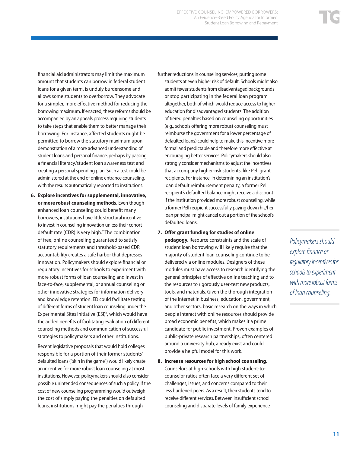financial aid administrators may limit the maximum amount that students can borrow in federal student loans for a given term, is unduly burdensome and allows some students to overborrow. They advocate for a simpler, more effective method for reducing the borrowing maximum. If enacted, these reforms should be accompanied by an appeals process requiring students to take steps that enable them to better manage their borrowing. For instance, affected students might be permitted to borrow the statutory maximum upon demonstration of a more advanced understanding of student loans and personal finance, perhaps by passing a financial literacy/student loan awareness test and creating a personal spending plan. Such a test could be administered at the end of online entrance counseling, with the results automatically reported to institutions.

**6. Explore incentives for supplemental, innovative, or more robust counseling methods.** Even though enhanced loan counseling could benefit many borrowers, institutions have little structural incentive to invest in counseling innovation unless their cohort default rate (CDR) is very high.7 The combination of free, online counseling guaranteed to satisfy statutory requirements and threshold-based CDR accountability creates a safe harbor that depresses innovation. Policymakers should explore financial or regulatory incentives for schools to experiment with more robust forms of loan counseling and invest in face-to-face, supplemental, or annual counseling or other innovative strategies for information delivery and knowledge retention. ED could facilitate testing of different forms of student loan counseling under the Experimental Sites Initiative (ESI)<sup>8</sup>, which would have the added benefits of facilitating evaluation of different counseling methods and communication of successful strategies to policymakers and other institutions.

Recent legislative proposals that would hold colleges responsible for a portion of their former students' defaulted loans ("skin in the game") would likely create an incentive for more robust loan counseling at most institutions. However, policymakers should also consider possible unintended consequences of such a policy. If the cost of new counseling programming would outweigh the cost of simply paying the penalties on defaulted loans, institutions might pay the penalties through

- further reductions in counseling services, putting some students at even higher risk of default. Schools might also admit fewer students from disadvantaged backgrounds or stop participating in the federal loan program altogether, both of which would reduce access to higher education for disadvantaged students. The addition of tiered penalties based on counseling opportunities (e.g., schools offering more robust counseling must reimburse the government for a lower percentage of defaulted loans) could help to make this incentive more formal and predictable and therefore more effective at encouraging better services. Policymakers should also strongly consider mechanisms to adjust the incentives that accompany higher-risk students, like Pell grant recipients. For instance, in determining an institution's loan default reimbursement penalty, a former Pell recipient's defaulted balance might receive a discount if the institution provided more robust counseling, while a former Pell recipient successfully paying down his/her loan principal might cancel out a portion of the school's defaulted loans.
- **7. Offer grant funding for studies of online**

**pedagogy.** Resource constraints and the scale of student loan borrowing will likely require that the majority of student loan counseling continue to be delivered via online modules. Designers of these modules must have access to research identifying the general principles of effective online teaching and to the resources to rigorously user-test new products, tools, and materials. Given the thorough integration of the Internet in business, education, government, and other sectors, basic research on the ways in which people interact with online resources should provide broad economic benefits, which makes it a prime candidate for public investment. Proven examples of public-private research partnerships, often centered around a university hub, already exist and could provide a helpful model for this work.

**8. Increase resources for high school counseling.**  Counselors at high schools with high student-tocounselor ratios often face a very different set of challenges, issues, and concerns compared to their less burdened peers. As a result, their students tend to receive different services. Between insufficient school counseling and disparate levels of family experience

*Policymakers should explore finance or regulatory incentives for schools to experiment with more robust forms of loan counseling.*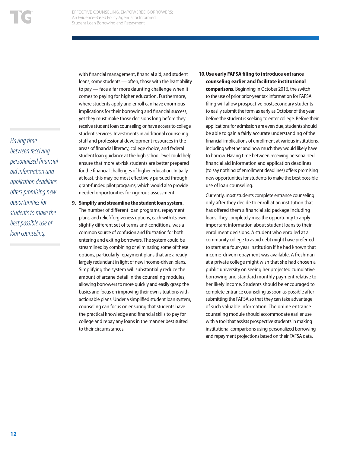*Having time between receiving personalized financial aid information and application deadlines offers promising new opportunities for students to make the best possible use of loan counseling.*

with financial management, financial aid, and student loans, some students — often, those with the least ability to pay — face a far more daunting challenge when it comes to paying for higher education. Furthermore, where students apply and enroll can have enormous implications for their borrowing and financial success, yet they must make those decisions long before they receive student loan counseling or have access to college student services. Investments in additional counseling staff and professional development resources in the areas of financial literacy, college choice, and federal student loan guidance at the high school level could help ensure that more at-risk students are better prepared for the financial challenges of higher education. Initially at least, this may be most effectively pursued through grant-funded pilot programs, which would also provide needed opportunities for rigorous assessment.

- **9. Simplify and streamline the student loan system.**  The number of different loan programs, repayment plans, and relief/forgiveness options, each with its own, slightly different set of terms and conditions, was a common source of confusion and frustration for both entering and exiting borrowers. The system could be streamlined by combining or eliminating some of these options, particularly repayment plans that are already largely redundant in light of new income-driven plans. Simplifying the system will substantially reduce the amount of arcane detail in the counseling modules, allowing borrowers to more quickly and easily grasp the basics and focus on improving their own situations with actionable plans. Under a simplified student loan system, counseling can focus on ensuring that students have the practical knowledge and financial skills to pay for college and repay any loans in the manner best suited to their circumstances.
- **10.Use early FAFSA filing to introduce entrance counseling earlier and facilitate institutional comparisons.** Beginning in October 2016, the switch to the use of prior prior-year tax information for FAFSA filing will allow prospective postsecondary students to easily submit the form as early as October of the year before the student is seeking to enter college. Before their applications for admission are even due, students should be able to gain a fairly accurate understanding of the financial implications of enrollment at various institutions, including whether and how much they would likely have to borrow. Having time between receiving personalized financial aid information and application deadlines (to say nothing of enrollment deadlines) offers promising new opportunities for students to make the best possible use of loan counseling.

Currently, most students complete entrance counseling only after they decide to enroll at an institution that has offered them a financial aid package including loans. They completely miss the opportunity to apply important information about student loans to their enrollment decisions. A student who enrolled at a community college to avoid debt might have preferred to start at a four-year institution if he had known that income-driven repayment was available. A freshman at a private college might wish that she had chosen a public university on seeing her projected cumulative borrowing and standard monthly payment relative to her likely income. Students should be encouraged to complete entrance counseling as soon as possible after submitting the FAFSA so that they can take advantage of such valuable information. The online entrance counseling module should accommodate earlier use with a tool that assists prospective students in making institutional comparisons using personalized borrowing and repayment projections based on their FAFSA data.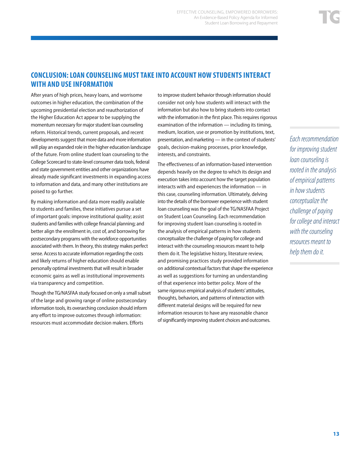## **CONCLUSION: LOAN COUNSELING MUST TAKE INTO ACCOUNT HOW STUDENTS INTERACT WITH AND USE INFORMATION**

After years of high prices, heavy loans, and worrisome outcomes in higher education, the combination of the upcoming presidential election and reauthorization of the Higher Education Act appear to be supplying the momentum necessary for major student loan counseling reform. Historical trends, current proposals, and recent developments suggest that more data and more information will play an expanded role in the higher education landscape of the future. From online student loan counseling to the College Scorecard to state-level consumer data tools, federal and state government entities and other organizations have already made significant investments in expanding access to information and data, and many other institutions are poised to go further.

By making information and data more readily available to students and families, these initiatives pursue a set of important goals: improve institutional quality; assist students and families with college financial planning; and better align the enrollment in, cost of, and borrowing for postsecondary programs with the workforce opportunities associated with them. In theory, this strategy makes perfect sense. Access to accurate information regarding the costs and likely returns of higher education should enable personally optimal investments that will result in broader economic gains as well as institutional improvements via transparency and competition.

Though the TG/NASFAA study focused on only a small subset of the large and growing range of online postsecondary information tools, its overarching conclusion should inform any effort to improve outcomes through information: resources must accommodate decision makers. Efforts

to improve student behavior through information should consider not only how students will interact with the information but also how to bring students into contact with the information in the first place. This requires rigorous examination of the information — including its timing, medium, location, use or promotion by institutions, text, presentation, and marketing — in the context of students' goals, decision-making processes, prior knowledge, interests, and constraints.

The effectiveness of an information-based intervention depends heavily on the degree to which its design and execution takes into account how the target population interacts with and experiences the information — in this case, counseling information. Ultimately, delving into the details of the borrower experience with student loan counseling was the goal of the TG/NASFAA Project on Student Loan Counseling. Each recommendation for improving student loan counseling is rooted in the analysis of empirical patterns in how students conceptualize the challenge of paying for college and interact with the counseling resources meant to help them do it. The legislative history, literature review, and promising practices study provided information on additional contextual factors that shape the experience as well as suggestions for turning an understanding of that experience into better policy. More of the same rigorous empirical analysis of students' attitudes, thoughts, behaviors, and patterns of interaction with different material designs will be required for new information resources to have any reasonable chance of significantly improving student choices and outcomes.

*Each recommendation for improving student loan counseling is rooted in the analysis of empirical patterns in how students conceptualize the challenge of paying for college and interact with the counseling resources meant to help them do it.*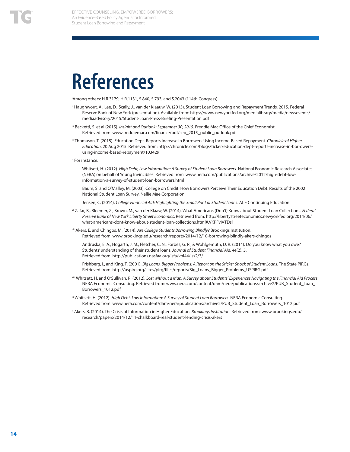## **References**

i Among others: H.R.3179, H.R.1131, S.840, S.793, and S.2043 (114th Congress)

- ii Haughwout, A., Lee, D., Scally, J., van der Klaauw, W. (2015). Student Loan Borrowing and Repayment Trends, 2015. Federal Reserve Bank of New York (presentation). Available from: https://www.newyorkfed.org/medialibrary/media/newsevents/ mediaadvisory/2015/Student-Loan-Press-Briefing-Presentation.pdf
- iii Becketti, S. et al (2015). *Insight and Outlook: September 30, 2015*. Freddie Mac Office of the Chief Economist. Retrieved from: www.freddiemac.com/finance/pdf/sep\_2015\_public\_outlook.pdf
- iv Thomason, T. (2015). Education Dept. Reports Increase in Borrowers Using Income-Based Repayment. *Chronicle of Higher Education*, 20 Aug 2015. Retrieved from: http://chronicle.com/blogs/ticker/education-dept-reports-increase-in-borrowersusing-income-based-repayment/103429
- v For instance:

Whitsett, H. (2012). *High Debt, Low Information: A Survey of Student Loan Borrowers*. National Economic Research Associates (NERA) on behalf of Young Invincibles. Retrieved from: www.nera.com/publications/archive/2012/high-debt-lowinformation-a-survey-of-student-loan-borrowers.html

Baum, S. and O'Malley, M. (2003). College on Credit: How Borrowers Perceive Their Education Debt: Results of the 2002 National Student Loan Survey. Nellie Mae Corporation.

Jensen, C. (2014). *College Financial Aid: Highlighting the Small Print of Student Loans*. ACE Continuing Education.

- vi Zafar, B., Bleemer, Z., Brown, M., van der Klaaw, W. (2014). What Americans (Don't) Know about Student Loan Collections. *Federal Reserve Bank of New York Liberty Street Economics*. Retrieved from: http://libertystreeteconomics.newyorkfed.org/2014/06/ what-americans-dont-know-about-student-loan-collections.html#.VKPFvIVTDsl
- vii Akers, E. and Chingos, M. (2014). *Are College Students Borrowing Blindly?* Brookings Institution. Retrieved from: www.brookings.edu/research/reports/2014/12/10-borrowing-blindly-akers-chingos

Andruska, E. A., Hogarth, J. M., Fletcher, C. N., Forbes, G. R., & Wohlgemuth, D. R. (2014). Do you know what you owe? Students' understanding of their student loans. *Journal of Student Financial Aid, 44*(2), 3. Retrieved from: http://publications.nasfaa.org/jsfa/vol44/iss2/3/

 Frishberg, I., and King, T. (2001). *Big Loans, Bigger Problems: A Report on the Sticker Shock of Student Loans*. The State PIRGs. Retrieved from: http://uspirg.org/sites/pirg/files/reports/Big\_Loans\_Bigger\_Problems\_USPIRG.pdf

- viii Whitsett, H. and O'Sullivan, R. (2012). *Lost without a Map: A Survey about Students' Experiences Navigating the Financial Aid Process*. NERA Economic Consulting. Retrieved from: www.nera.com/content/dam/nera/publications/archive2/PUB\_Student\_Loan\_ Borrowers\_1012.pdf
- ix Whitsett, H. (2012). *High Debt, Low Information: A Survey of Student Loan Borrowers*. NERA Economic Consulting. Retrieved from: www.nera.com/content/dam/nera/publications/archive2/PUB\_Student\_Loan\_Borrowers\_1012.pdf
- x Akers, B. (2014). The Crisis of Information in Higher Education. *Brookings Institution*. Retrieved from: www.brookings.edu/ research/papers/2014/12/11-chalkboard-real-student-lending-crisis-akers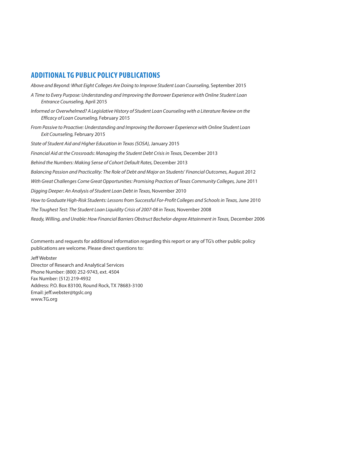### **ADDITIONAL TG PUBLIC POLICY PUBLICATIONS**

*Above and Beyond: What Eight Colleges Are Doing to Improve Student Loan Counseling,* September 2015

- *A Time to Every Purpose: Understanding and Improving the Borrower Experience with Online Student Loan Entrance Counseling,* April 2015
- *Informed or Overwhelmed? A Legislative History of Student Loan Counseling with a Literature Review on the Efficacy of Loan Counseling,* February 2015
- *From Passive to Proactive: Understanding and Improving the Borrower Experience with Online Student Loan Exit Counseling,* February 2015

*State of Student Aid and Higher Education in Texas (SOSA),* January 2015

*Financial Aid at the Crossroads: Managing the Student Debt Crisis in Texas,* December 2013

*Behind the Numbers: Making Sense of Cohort Default Rates,* December 2013

*Balancing Passion and Practicality: The Role of Debt and Major on Students' Financial Outcomes,* August 2012

With Great Challenges Come Great Opportunities: Promising Practices of Texas Community Colleges, June 2011

*Digging Deeper: An Analysis of Student Loan Debt in Texas,* November 2010

How to Graduate High-Risk Students: Lessons from Successful For-Profit Colleges and Schools in Texas, June 2010

*The Toughest Test: The Student Loan Liquidity Crisis of 2007-08 in Texas,* November 2008

*Ready, Willing, and Unable: How Financial Barriers Obstruct Bachelor-degree Attainment in Texas,* December 2006

Comments and requests for additional information regarding this report or any of TG's other public policy publications are welcome. Please direct questions to:

Jeff Webster Director of Research and Analytical Services Phone Number: (800) 252-9743, ext. 4504 Fax Number: (512) 219-4932 Address: P.O. Box 83100, Round Rock, TX 78683-3100 Email: jeff.webster@tgslc.org www.TG.org